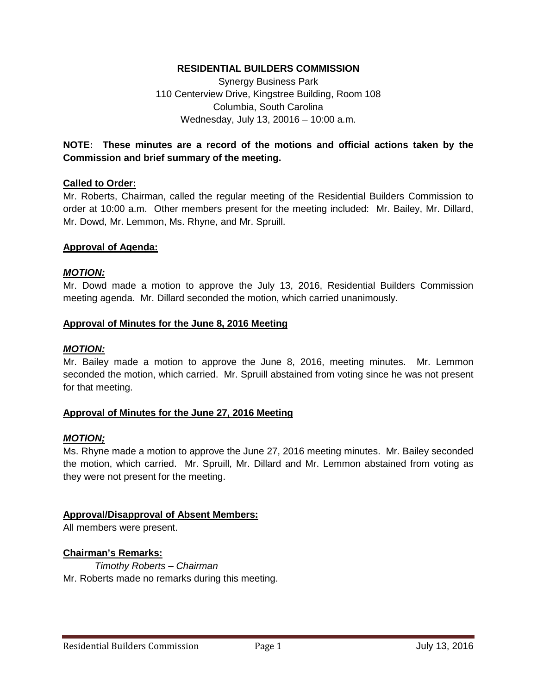### **RESIDENTIAL BUILDERS COMMISSION**

Synergy Business Park 110 Centerview Drive, Kingstree Building, Room 108 Columbia, South Carolina Wednesday, July 13, 20016 – 10:00 a.m.

# **NOTE: These minutes are a record of the motions and official actions taken by the Commission and brief summary of the meeting.**

### **Called to Order:**

Mr. Roberts, Chairman, called the regular meeting of the Residential Builders Commission to order at 10:00 a.m. Other members present for the meeting included: Mr. Bailey, Mr. Dillard, Mr. Dowd, Mr. Lemmon, Ms. Rhyne, and Mr. Spruill.

#### **Approval of Agenda:**

#### *MOTION:*

Mr. Dowd made a motion to approve the July 13, 2016, Residential Builders Commission meeting agenda. Mr. Dillard seconded the motion, which carried unanimously.

#### **Approval of Minutes for the June 8, 2016 Meeting**

#### *MOTION:*

Mr. Bailey made a motion to approve the June 8, 2016, meeting minutes. Mr. Lemmon seconded the motion, which carried. Mr. Spruill abstained from voting since he was not present for that meeting.

### **Approval of Minutes for the June 27, 2016 Meeting**

### *MOTION;*

Ms. Rhyne made a motion to approve the June 27, 2016 meeting minutes. Mr. Bailey seconded the motion, which carried. Mr. Spruill, Mr. Dillard and Mr. Lemmon abstained from voting as they were not present for the meeting.

#### **Approval/Disapproval of Absent Members:**

All members were present.

### **Chairman's Remarks:**

*Timothy Roberts – Chairman* Mr. Roberts made no remarks during this meeting.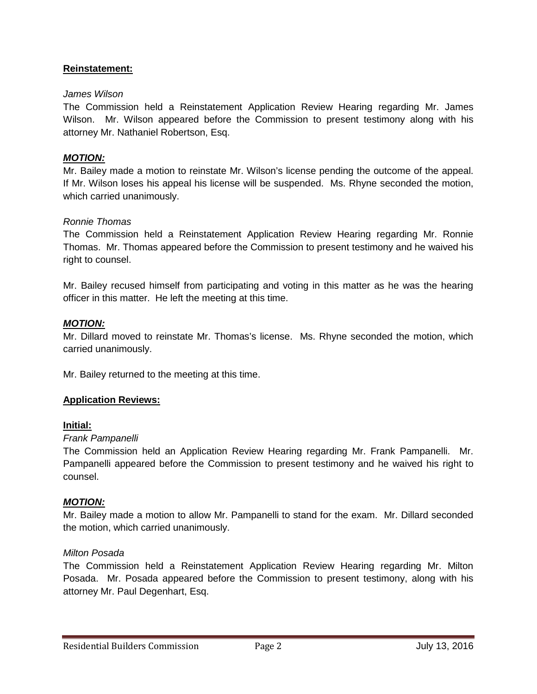# **Reinstatement:**

### *James Wilson*

The Commission held a Reinstatement Application Review Hearing regarding Mr. James Wilson. Mr. Wilson appeared before the Commission to present testimony along with his attorney Mr. Nathaniel Robertson, Esq.

### *MOTION:*

Mr. Bailey made a motion to reinstate Mr. Wilson's license pending the outcome of the appeal. If Mr. Wilson loses his appeal his license will be suspended. Ms. Rhyne seconded the motion, which carried unanimously.

### *Ronnie Thomas*

The Commission held a Reinstatement Application Review Hearing regarding Mr. Ronnie Thomas. Mr. Thomas appeared before the Commission to present testimony and he waived his right to counsel.

Mr. Bailey recused himself from participating and voting in this matter as he was the hearing officer in this matter. He left the meeting at this time.

### *MOTION:*

Mr. Dillard moved to reinstate Mr. Thomas's license. Ms. Rhyne seconded the motion, which carried unanimously.

Mr. Bailey returned to the meeting at this time.

### **Application Reviews:**

### **Initial:**

### *Frank Pampanelli*

The Commission held an Application Review Hearing regarding Mr. Frank Pampanelli. Mr. Pampanelli appeared before the Commission to present testimony and he waived his right to counsel.

### *MOTION:*

Mr. Bailey made a motion to allow Mr. Pampanelli to stand for the exam. Mr. Dillard seconded the motion, which carried unanimously.

### *Milton Posada*

The Commission held a Reinstatement Application Review Hearing regarding Mr. Milton Posada. Mr. Posada appeared before the Commission to present testimony, along with his attorney Mr. Paul Degenhart, Esq.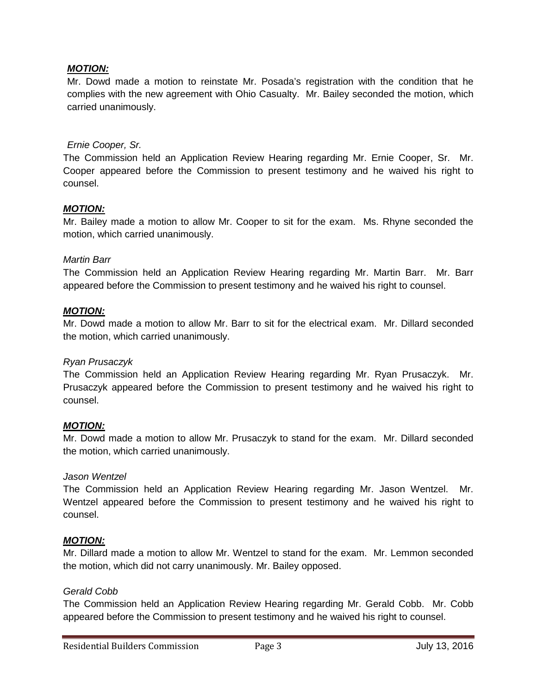## *MOTION:*

Mr. Dowd made a motion to reinstate Mr. Posada's registration with the condition that he complies with the new agreement with Ohio Casualty. Mr. Bailey seconded the motion, which carried unanimously.

### *Ernie Cooper, Sr.*

The Commission held an Application Review Hearing regarding Mr. Ernie Cooper, Sr. Mr. Cooper appeared before the Commission to present testimony and he waived his right to counsel.

### *MOTION:*

Mr. Bailey made a motion to allow Mr. Cooper to sit for the exam. Ms. Rhyne seconded the motion, which carried unanimously.

### *Martin Barr*

The Commission held an Application Review Hearing regarding Mr. Martin Barr. Mr. Barr appeared before the Commission to present testimony and he waived his right to counsel.

### *MOTION:*

Mr. Dowd made a motion to allow Mr. Barr to sit for the electrical exam. Mr. Dillard seconded the motion, which carried unanimously.

### *Ryan Prusaczyk*

The Commission held an Application Review Hearing regarding Mr. Ryan Prusaczyk. Mr. Prusaczyk appeared before the Commission to present testimony and he waived his right to counsel.

### *MOTION:*

Mr. Dowd made a motion to allow Mr. Prusaczyk to stand for the exam. Mr. Dillard seconded the motion, which carried unanimously.

### *Jason Wentzel*

The Commission held an Application Review Hearing regarding Mr. Jason Wentzel. Mr. Wentzel appeared before the Commission to present testimony and he waived his right to counsel.

### *MOTION:*

Mr. Dillard made a motion to allow Mr. Wentzel to stand for the exam. Mr. Lemmon seconded the motion, which did not carry unanimously. Mr. Bailey opposed.

### *Gerald Cobb*

The Commission held an Application Review Hearing regarding Mr. Gerald Cobb. Mr. Cobb appeared before the Commission to present testimony and he waived his right to counsel.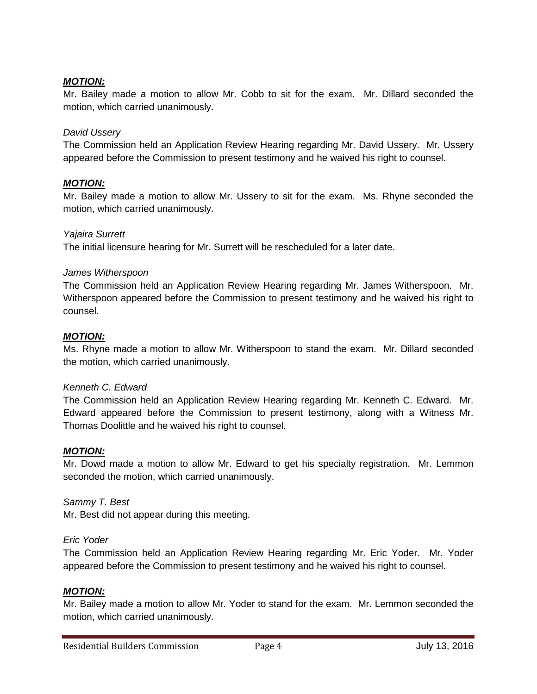# *MOTION:*

Mr. Bailey made a motion to allow Mr. Cobb to sit for the exam. Mr. Dillard seconded the motion, which carried unanimously.

# *David Ussery*

The Commission held an Application Review Hearing regarding Mr. David Ussery. Mr. Ussery appeared before the Commission to present testimony and he waived his right to counsel.

### *MOTION:*

Mr. Bailey made a motion to allow Mr. Ussery to sit for the exam. Ms. Rhyne seconded the motion, which carried unanimously.

### *Yajaira Surrett*

The initial licensure hearing for Mr. Surrett will be rescheduled for a later date.

### *James Witherspoon*

The Commission held an Application Review Hearing regarding Mr. James Witherspoon. Mr. Witherspoon appeared before the Commission to present testimony and he waived his right to counsel.

### *MOTION:*

Ms. Rhyne made a motion to allow Mr. Witherspoon to stand the exam. Mr. Dillard seconded the motion, which carried unanimously.

### *Kenneth C. Edward*

The Commission held an Application Review Hearing regarding Mr. Kenneth C. Edward. Mr. Edward appeared before the Commission to present testimony, along with a Witness Mr. Thomas Doolittle and he waived his right to counsel.

### *MOTION:*

Mr. Dowd made a motion to allow Mr. Edward to get his specialty registration. Mr. Lemmon seconded the motion, which carried unanimously.

*Sammy T. Best* Mr. Best did not appear during this meeting.

### *Eric Yoder*

The Commission held an Application Review Hearing regarding Mr. Eric Yoder. Mr. Yoder appeared before the Commission to present testimony and he waived his right to counsel.

### *MOTION:*

Mr. Bailey made a motion to allow Mr. Yoder to stand for the exam. Mr. Lemmon seconded the motion, which carried unanimously.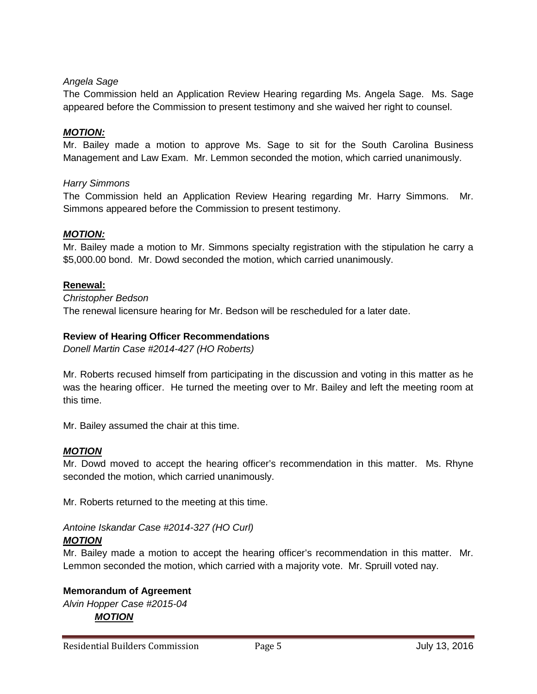# *Angela Sage*

The Commission held an Application Review Hearing regarding Ms. Angela Sage. Ms. Sage appeared before the Commission to present testimony and she waived her right to counsel.

### *MOTION:*

Mr. Bailey made a motion to approve Ms. Sage to sit for the South Carolina Business Management and Law Exam. Mr. Lemmon seconded the motion, which carried unanimously.

### *Harry Simmons*

The Commission held an Application Review Hearing regarding Mr. Harry Simmons. Mr. Simmons appeared before the Commission to present testimony.

### *MOTION:*

Mr. Bailey made a motion to Mr. Simmons specialty registration with the stipulation he carry a \$5,000.00 bond. Mr. Dowd seconded the motion, which carried unanimously.

### **Renewal:**

*Christopher Bedson* The renewal licensure hearing for Mr. Bedson will be rescheduled for a later date.

### **Review of Hearing Officer Recommendations**

*Donell Martin Case #2014-427 (HO Roberts)*

Mr. Roberts recused himself from participating in the discussion and voting in this matter as he was the hearing officer. He turned the meeting over to Mr. Bailey and left the meeting room at this time.

Mr. Bailey assumed the chair at this time.

### *MOTION*

Mr. Dowd moved to accept the hearing officer's recommendation in this matter. Ms. Rhyne seconded the motion, which carried unanimously.

Mr. Roberts returned to the meeting at this time.

### *Antoine Iskandar Case #2014-327 (HO Curl) MOTION*

Mr. Bailey made a motion to accept the hearing officer's recommendation in this matter. Mr. Lemmon seconded the motion, which carried with a majority vote. Mr. Spruill voted nay.

# **Memorandum of Agreement**

*Alvin Hopper Case #2015-04 MOTION*